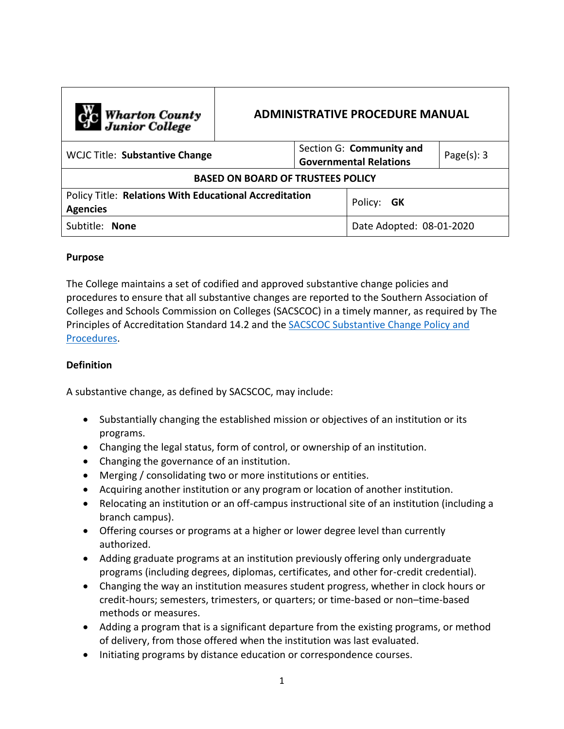| C <sub>o</sub> Wharton County<br>Junior College                                  | <b>ADMINISTRATIVE PROCEDURE MANUAL</b> |                                                           |                          |                |
|----------------------------------------------------------------------------------|----------------------------------------|-----------------------------------------------------------|--------------------------|----------------|
| <b>WCJC Title: Substantive Change</b>                                            |                                        | Section G: Community and<br><b>Governmental Relations</b> |                          | Page $(s)$ : 3 |
| <b>BASED ON BOARD OF TRUSTEES POLICY</b>                                         |                                        |                                                           |                          |                |
| <b>Policy Title: Relations With Educational Accreditation</b><br><b>Agencies</b> |                                        |                                                           | Policy: GK               |                |
| Subtitle: None                                                                   |                                        |                                                           | Date Adopted: 08-01-2020 |                |

## **Purpose**

The College maintains a set of codified and approved substantive change policies and procedures to ensure that all substantive changes are reported to the Southern Association of Colleges and Schools Commission on Colleges (SACSCOC) in a timely manner, as required by The Principles of Accreditation Standard 14.2 and the [SACSCOC Substantive Change Policy and](https://sacscoc.org/app/uploads/2019/08/SubstantiveChange.pdf)  [Procedures.](https://sacscoc.org/app/uploads/2019/08/SubstantiveChange.pdf)

## **Definition**

A substantive change, as defined by SACSCOC, may include:

- Substantially changing the established mission or objectives of an institution or its programs.
- Changing the legal status, form of control, or ownership of an institution.
- Changing the governance of an institution.
- Merging / consolidating two or more institutions or entities.
- Acquiring another institution or any program or location of another institution.
- Relocating an institution or an off-campus instructional site of an institution (including a branch campus).
- Offering courses or programs at a higher or lower degree level than currently authorized.
- Adding graduate programs at an institution previously offering only undergraduate programs (including degrees, diplomas, certificates, and other for-credit credential).
- Changing the way an institution measures student progress, whether in clock hours or credit-hours; semesters, trimesters, or quarters; or time-based or non–time-based methods or measures.
- Adding a program that is a significant departure from the existing programs, or method of delivery, from those offered when the institution was last evaluated.
- Initiating programs by distance education or correspondence courses.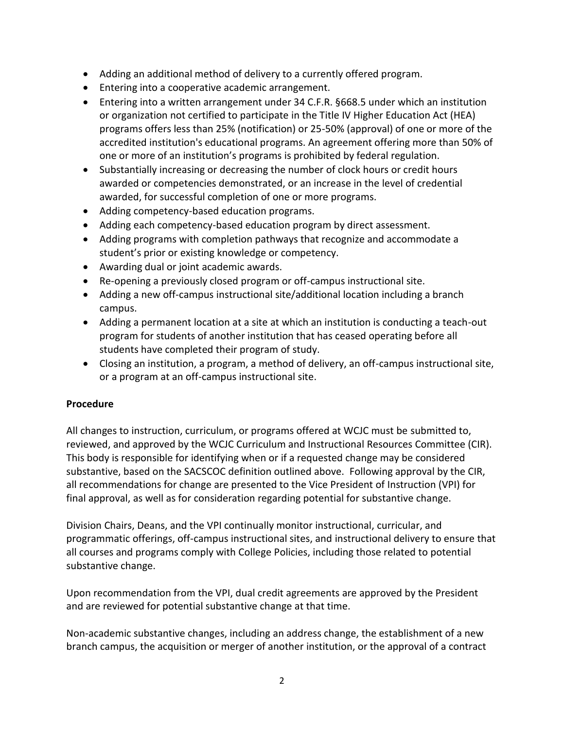- Adding an additional method of delivery to a currently offered program.
- **Entering into a cooperative academic arrangement.**
- Entering into a written arrangement under 34 C.F.R. §668.5 under which an institution or organization not certified to participate in the Title IV Higher Education Act (HEA) programs offers less than 25% (notification) or 25-50% (approval) of one or more of the accredited institution's educational programs. An agreement offering more than 50% of one or more of an institution's programs is prohibited by federal regulation.
- Substantially increasing or decreasing the number of clock hours or credit hours awarded or competencies demonstrated, or an increase in the level of credential awarded, for successful completion of one or more programs.
- Adding competency-based education programs.
- Adding each competency-based education program by direct assessment.
- Adding programs with completion pathways that recognize and accommodate a student's prior or existing knowledge or competency.
- Awarding dual or joint academic awards.
- Re-opening a previously closed program or off-campus instructional site.
- Adding a new off-campus instructional site/additional location including a branch campus.
- Adding a permanent location at a site at which an institution is conducting a teach-out program for students of another institution that has ceased operating before all students have completed their program of study.
- Closing an institution, a program, a method of delivery, an off-campus instructional site, or a program at an off-campus instructional site.

## **Procedure**

All changes to instruction, curriculum, or programs offered at WCJC must be submitted to, reviewed, and approved by the WCJC Curriculum and Instructional Resources Committee (CIR). This body is responsible for identifying when or if a requested change may be considered substantive, based on the SACSCOC definition outlined above. Following approval by the CIR, all recommendations for change are presented to the Vice President of Instruction (VPI) for final approval, as well as for consideration regarding potential for substantive change.

Division Chairs, Deans, and the VPI continually monitor instructional, curricular, and programmatic offerings, off-campus instructional sites, and instructional delivery to ensure that all courses and programs comply with College Policies, including those related to potential substantive change.

Upon recommendation from the VPI, dual credit agreements are approved by the President and are reviewed for potential substantive change at that time.

Non-academic substantive changes, including an address change, the establishment of a new branch campus, the acquisition or merger of another institution, or the approval of a contract